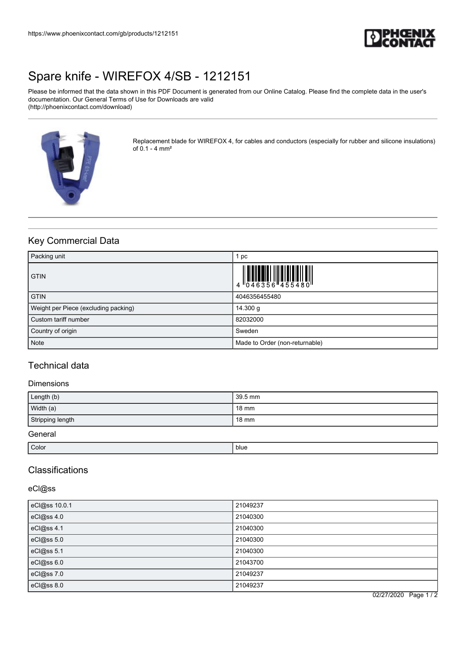

# [Spare knife - WIREFOX 4/SB - 1212151](https://www.phoenixcontact.com/gb/products/1212151)

Please be informed that the data shown in this PDF Document is generated from our Online Catalog. Please find the complete data in the user's documentation. Our General Terms of Use for Downloads are valid (http://phoenixcontact.com/download)



Replacement blade for WIREFOX 4, for cables and conductors (especially for rubber and silicone insulations) of 0.1 - 4 mm²

## Key Commercial Data

| Packing unit                         | pc                             |
|--------------------------------------|--------------------------------|
| <b>GTIN</b>                          |                                |
| <b>GTIN</b>                          | 4046356455480                  |
| Weight per Piece (excluding packing) | 14.300 g                       |
| Custom tariff number                 | 82032000                       |
| Country of origin                    | Sweden                         |
| <b>Note</b>                          | Made to Order (non-returnable) |

## Technical data

#### Dimensions

| Length (b)       | 39.5 mm         |
|------------------|-----------------|
| Width (a)        | $18 \text{ mm}$ |
| Stripping length | $18 \text{ mm}$ |
| General          |                 |

Color in the color of the color blue color blue color blue color blue color blue color blue color blue color b

### **Classifications**

eCl@ss

| eCl@ss 10.0.1 | 21049237 |
|---------------|----------|
| eCl@ss 4.0    | 21040300 |
| eCl@ss 4.1    | 21040300 |
| eCl@ss 5.0    | 21040300 |
| eCl@ss 5.1    | 21040300 |
| eCl@ss 6.0    | 21043700 |
| eCl@ss 7.0    | 21049237 |
| eCl@ss 8.0    | 21049237 |

02/27/2020 Page 1 / 2